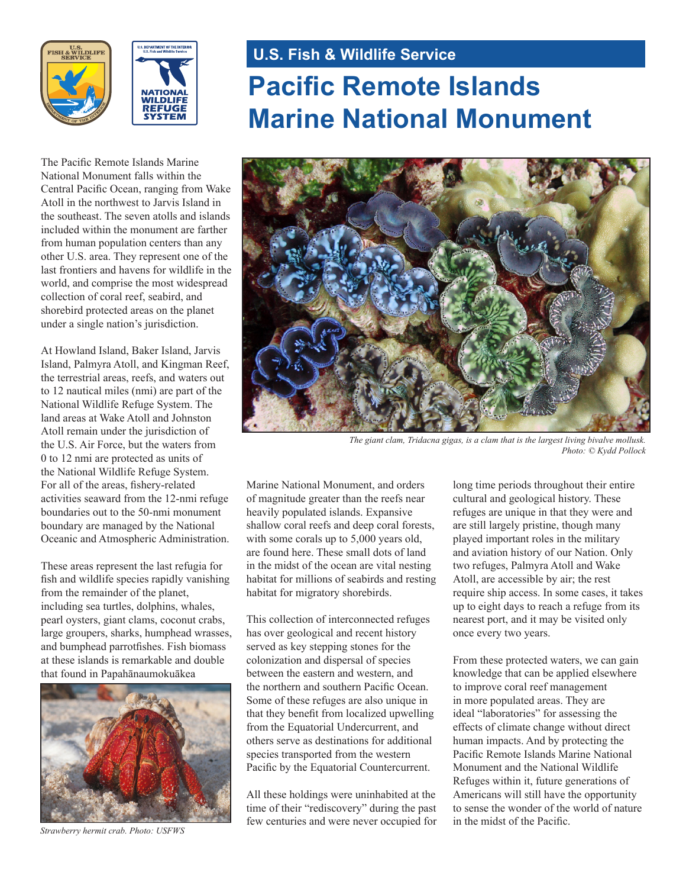



The Pacific Remote Islands Marine National Monument falls within the Central Pacific Ocean, ranging from Wake Atoll in the northwest to Jarvis Island in the southeast. The seven atolls and islands included within the monument are farther from human population centers than any other U.S. area. They represent one of the last frontiers and havens for wildlife in the world, and comprise the most widespread collection of coral reef, seabird, and shorebird protected areas on the planet under a single nation's jurisdiction.

At Howland Island, Baker Island, Jarvis Island, Palmyra Atoll, and Kingman Reef, the terrestrial areas, reefs, and waters out to 12 nautical miles (nmi) are part of the National Wildlife Refuge System. The land areas at Wake Atoll and Johnston Atoll remain under the jurisdiction of the U.S. Air Force, but the waters from 0 to 12 nmi are protected as units of the National Wildlife Refuge System. For all of the areas, fishery-related activities seaward from the 12-nmi refuge boundaries out to the 50-nmi monument boundary are managed by the National Oceanic and Atmospheric Administration.

These areas represent the last refugia for fish and wildlife species rapidly vanishing from the remainder of the planet, including sea turtles, dolphins, whales, pearl oysters, giant clams, coconut crabs, large groupers, sharks, humphead wrasses, and bumphead parrotfishes. Fish biomass at these islands is remarkable and double that found in Papahānaumokuākea



*Strawberry hermit crab. Photo: USFWS*

# **U.S. Fish & Wildlife Service**

# **Pacific Remote Islands Marine National Monument**



*The giant clam, Tridacna gigas, is a clam that is the largest living bivalve mollusk. Photo: © Kydd Pollock*

Marine National Monument, and orders of magnitude greater than the reefs near heavily populated islands. Expansive shallow coral reefs and deep coral forests, with some corals up to 5,000 years old, are found here. These small dots of land in the midst of the ocean are vital nesting habitat for millions of seabirds and resting habitat for migratory shorebirds.

This collection of interconnected refuges has over geological and recent history served as key stepping stones for the colonization and dispersal of species between the eastern and western, and the northern and southern Pacific Ocean. Some of these refuges are also unique in that they benefit from localized upwelling from the Equatorial Undercurrent, and others serve as destinations for additional species transported from the western Pacific by the Equatorial Countercurrent.

All these holdings were uninhabited at the time of their "rediscovery" during the past few centuries and were never occupied for long time periods throughout their entire cultural and geological history. These refuges are unique in that they were and are still largely pristine, though many played important roles in the military and aviation history of our Nation. Only two refuges, Palmyra Atoll and Wake Atoll, are accessible by air; the rest require ship access. In some cases, it takes up to eight days to reach a refuge from its nearest port, and it may be visited only once every two years.

From these protected waters, we can gain knowledge that can be applied elsewhere to improve coral reef management in more populated areas. They are ideal "laboratories" for assessing the effects of climate change without direct human impacts. And by protecting the Pacific Remote Islands Marine National Monument and the National Wildlife Refuges within it, future generations of Americans will still have the opportunity to sense the wonder of the world of nature in the midst of the Pacific.